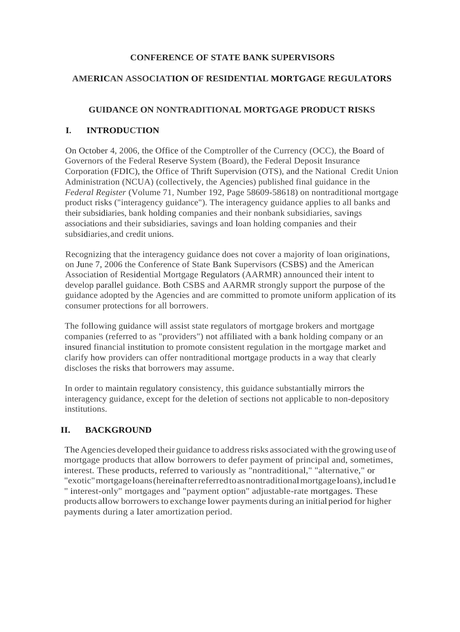### **CONFERENCE OF STATE BANK SUPERVISORS**

# **AMERICAN ASSOCIATION OF RESIDENTIAL MORTGAGE REGULATORS**

# **GUIDANCE ON NONTRADITIONAL MORTGAGE PRODUCT RISKS**

# **I. INTRODUCTION**

On October 4, 2006, the Office of the Comptroller of the Currency (OCC), the Board of Governors of the Federal Reserve System (Board), the Federal Deposit Insurance Corporation (FDIC), the Office of Thrift Supervision (OTS), and the National Credit Union Administration (NCUA) (collectively, the Agencies) published final guidance in the *Federal Register* (Volume 71, Number 192, Page 58609-58618) on nontraditional mortgage product risks ("interagency guidance"). The interagency guidance applies to all banks and their subsidiaries, bank holding companies and their nonbank subsidiaries, savings associations and their subsidiaries, savings and loan holding companies and their subsidiaries,and credit unions.

Recognizing that the interagency guidance does not cover a majority of loan originations, on June 7, 2006 the Conference of State Bank Supervisors (CSBS) and the American Association of Residential Mortgage Regulators (AARMR) announced their intent to develop parallel guidance. Both CSBS and AARMR strongly support the purpose of the guidance adopted by the Agencies and are committed to promote uniform application of its consumer protections for all borrowers.

The following guidance will assist state regulators of mortgage brokers and mortgage companies (referred to as "providers") not affiliated with a bank holding company or an insured financial institution to promote consistent regulation in the mortgage market and clarify how providers can offer nontraditional mortgage products in a way that clearly discloses the risks that borrowers may assume.

In order to maintain regulatory consistency, this guidance substantially mirrors the interagency guidance, except for the deletion of sections not applicable to non-depository institutions.

# **II. BACKGROUND**

The Agencies developed their guidance to address risks associated with the growing use of mortgage products that allow borrowers to defer payment of principal and, sometimes, interest. These products, referred to variously as "nontraditional," "alternative," or "exotic"mortgageloans(hereinafterreferredtoasnontraditionalmortgageloans),includ1e " interest-only" mortgages and "payment option" adjustable-rate mortgages. These products allow borrowersto exchange lower payments during an initial period for higher payments during a later amortization period.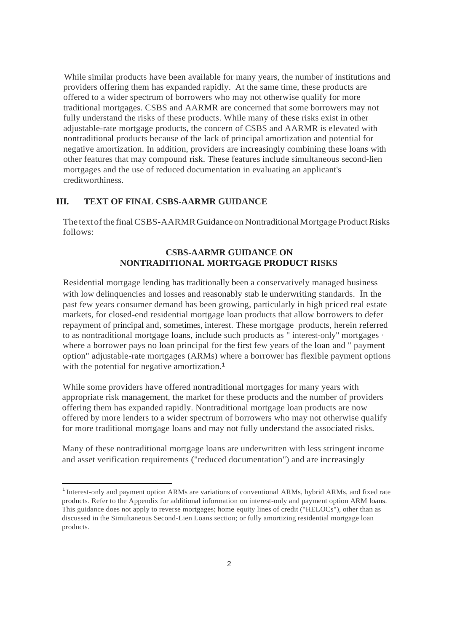While similar products have been available for many years, the number of institutions and providers offering them has expanded rapidly. At the same time, these products are offered to a wider spectrum of borrowers who may not otherwise qualify for more traditional mortgages. CSBS and AARMR are concerned that some borrowers may not fully understand the risks of these products. While many of these risks exist in other adjustable-rate mortgage products, the concern of CSBS and AARMR is elevated with nontraditional products because of the lack of principal amortization and potential for negative amortization. In addition, providers are increasingly combining these loans with other features that may compound risk. These features include simultaneous second-lien mortgages and the use of reduced documentation in evaluating an applicant's creditworthiness.

# **III. TEXT OF FINAL CSBS-AARMR GUIDANCE**

The text of the final CSBS-AARMR Guidance on Nontraditional Mortgage Product Risks follows:

# **CSBS-AARMR GUIDANCE ON NONTRADITIONAL MORTGAGE PRODUCT RISKS**

Residential mortgage lending has traditionally been a conservatively managed business with low delinquencies and losses and reasonably stab le underwriting standards. In the past few years consumer demand has been growing, particularly in high priced real estate markets, for closed-end residential mortgage loan products that allow borrowers to defer repayment of principal and, sometimes, interest. These mortgage products, herein referred to as nontraditional mortgage loans, include such products as " interest-only" mortgages · where a borrower pays no loan principal for the first few years of the loan and " payment option" adjustable-rate mortgages (ARMs) where a borrower has flexible payment options with the potential for negative amortization.<sup>1</sup>

While some providers have offered nontraditional mortgages for many years with appropriate risk management, the market for these products and the number of providers offering them has expanded rapidly. Nontraditional mortgage loan products are now offered by more lenders to a wider spectrum of borrowers who may not otherwise qualify for more traditional mortgage loans and may not fully understand the associated risks.

Many of these nontraditional mortgage loans are underwritten with less stringent income and asset verification requirements ("reduced documentation") and are increasingly

<sup>&</sup>lt;sup>1</sup> Interest-only and payment option ARMs are variations of conventional ARMs, hybrid ARMs, and fixed rate products. Refer to the Appendix for additional information on interest-only and payment option ARM loans. This guidance does not apply to reverse mortgages; home equity lines of credit ("HELOCs"), other than as discussed in the Simultaneous Second-Lien Loans section; or fully amortizing residential mortgage loan products.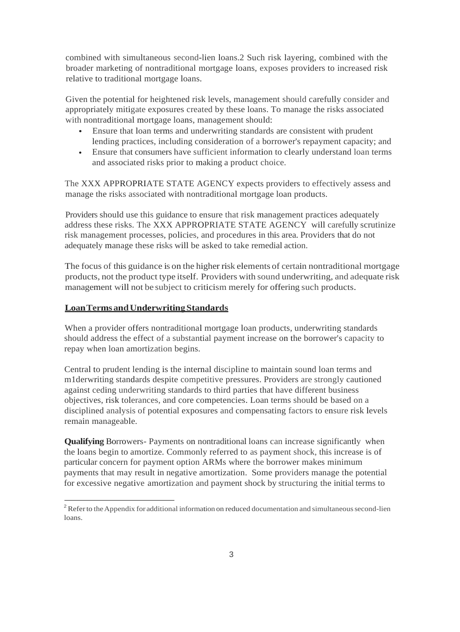combined with simultaneous second-lien loans.2 Such risk layering, combined with the broader marketing of nontraditional mortgage loans, exposes providers to increased risk relative to traditional mortgage loans.

Given the potential for heightened risk levels, management should carefully consider and appropriately mitigate exposures created by these loans. To manage the risks associated with nontraditional mortgage loans, management should:

- Ensure that loan terms and underwriting standards are consistent with prudent lending practices, including consideration of a borrower's repayment capacity; and
- Ensure that consumers have sufficient information to clearly understand loan terms and associated risks prior to making a product choice. •

The XXX APPROPRIATE STATE AGENCY expects providers to effectively assess and manage the risks associated with nontraditional mortgage loan products.

Providers should use this guidance to ensure that risk management practices adequately address these risks. The XXX APPROPRIATE STATE AGENCY will carefully scrutinize risk management processes, policies, and procedures in this area. Providers that do not adequately manage these risks will be asked to take remedial action.

The focus of this guidance is on the higher risk elements of certain nontraditional mortgage products, not the product type itself. Providers with sound underwriting, and adequate risk management will not be subject to criticism merely for offering such products.

### **LoanTermsandUnderwritingStandards**

When a provider offers nontraditional mortgage loan products, underwriting standards should address the effect of a substantial payment increase on the borrower's capacity to repay when loan amortization begins.

Central to prudent lending is the internal discipline to maintain sound loan terms and m1derwriting standards despite competitive pressures. Providers are strongly cautioned against ceding underwriting standards to third parties that have different business objectives, risk tolerances, and core competencies. Loan terms should be based on a disciplined analysis of potential exposures and compensating factors to ensure risk levels remain manageable.

**Qualifying** Borrowers- Payments on nontraditional loans can increase significantly when the loans begin to amortize. Commonly referred to as payment shock, this increase is of particular concern for payment option ARMs where the borrower makes minimum payments that may result in negative amortization. Some providers manage the potential for excessive negative amortization and payment shock by structuring the initial terms to

<sup>&</sup>lt;sup>2</sup> Refer to the Appendix for additional information on reduced documentation and simultaneous second-lien loans.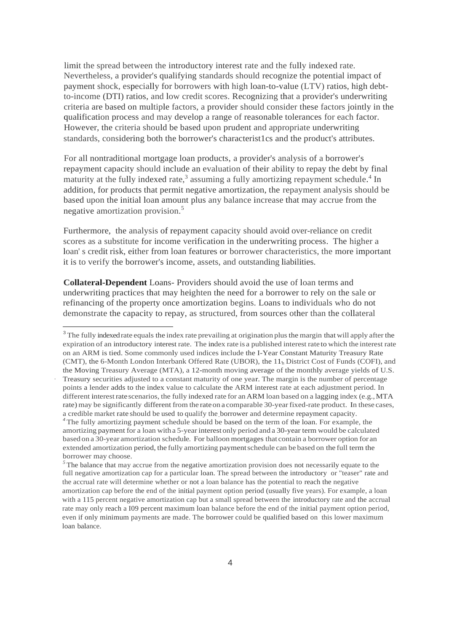limit the spread between the introductory interest rate and the fully indexed rate. Nevertheless, a provider's qualifying standards should recognize the potential impact of payment shock, especially for borrowers with high loan-to-value (LTV) ratios, high debtto-income (DTI) ratios, and low credit scores. Recognizing that a provider's underwriting criteria are based on multiple factors, a provider should consider these factors jointly in the qualification process and may develop a range of reasonable tolerances for each factor. However, the criteria should be based upon prudent and appropriate underwriting standards, considering both the borrower's characterist1cs and the product's attributes.

For all nontraditional mortgage loan products, a provider's analysis of a borrower's repayment capacity should include an evaluation of their ability to repay the debt by final maturity at the fully indexed rate,<sup>3</sup> assuming a fully amortizing repayment schedule.<sup>4</sup> In addition, for products that permit negative amortization, the repayment analysis should be based upon the initial loan amount plus any balance increase that may accrue from the negative amortization provision.<sup>5</sup>

Furthermore, the analysis of repayment capacity should avoid over-reliance on credit scores as a substitute for income verification in the underwriting process. The higher a loan' s credit risk, either from loan features or borrower characteristics, the more important it is to verify the borrower's income, assets, and outstanding liabilities.

**Collateral-Dependent** Loans- Providers should avoid the use of loan terms and underwriting practices that may heighten the need for a borrower to rely on the sale or refinancing of the property once amortization begins. Loans to individuals who do not demonstrate the capacity to repay, as structured, from sources other than the collateral

·

<sup>&</sup>lt;sup>3</sup> The fully indexed rate equals the index rate prevailing at origination plus the margin that will apply after the expiration of an introductory interest rate. The index rate is a published interest rate to which the interest rate on an ARM is tied. Some commonly used indices include the I-Year Constant Maturity Treasury Rate (CMT), the 6-Month London Interbank Offered Rate (UBOR), the 11'h District Cost of Funds (COFI), and the Moving Treasury Average (MTA), a 12-month moving average of the monthly average yields of U.S. Treasury securities adjusted to a constant maturity of one year. The margin is the number of percentage points a lender adds to the index value to calculate the ARM interest rate at each adjustment period. In different interest rate scenarios, the fully indexed rate for an ARM loan based on a lagging index (e.g., MTA rate) may be significantly different from the rateon a comparable 30-year fixed-rate product. In these cases, a credible market rate should be used to qualify the borrower and determine repayment capacity.

*<sup>4</sup>*The fully amortizing payment schedule should be based on the term of the loan. For example, the amortizing payment for a loan with a 5-year interestonly period and a 30-year term would be calculated based on a 30-year amortization schedule. For balloon mortgages that contain a borrower option for an extended amortization period, the fully amortizing paymentschedule can be based on the full term the borrower may choose.

<sup>&</sup>lt;sup>5</sup>The balance that may accrue from the negative amortization provision does not necessarily equate to the full negative amortization cap for a particular loan. The spread between the introductory or "teaser" rate and the accrual rate will determine whether or not a loan balance has the potential to reach the negative amortization cap before the end of the initial payment option period (usually five years). For example, a loan with a 115 percent negative amortization cap but a small spread between the introductory rate and the accrual rate may only reach a I09 percent maximum loan balance before the end of the initial payment option period, even if only minimum payments are made. The borrower could be qualified based on this lower maximum loan balance.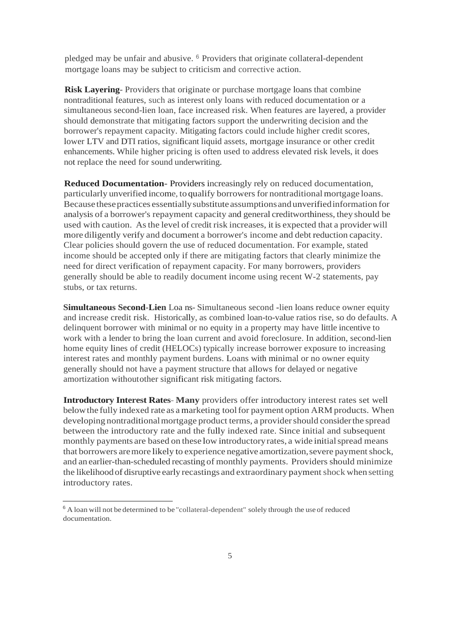pledged may be unfair and abusive. <sup>6</sup> Providers that originate collateral-dependent mortgage loans may be subject to criticism and corrective action.

**Risk Layering**- Providers that originate or purchase mortgage loans that combine nontraditional features, such as interest only loans with reduced documentation or a simultaneous second-lien loan, face increased risk. When features are layered, a provider should demonstrate that mitigating factors support the underwriting decision and the borrower's repayment capacity. Mitigating factors could include higher credit scores, lower LTV and DTI ratios, significant liquid assets, mortgage insurance or other credit enhancements. While higher pricing is often used to address elevated risk levels, it does not replace the need for sound underwriting.

**Reduced Documentation-** Providers increasingly rely on reduced documentation, particularly unverified income, to qualify borrowers for nontraditional mortgage loans. Because thesepractices essentiallysubstitute assumptionsand unverifiedinformation for analysis of a borrower's repayment capacity and general creditworthiness, they should be used with caution. Asthe level of credit risk increases, it is expected that a provider will more diligently verify and document a borrower's income and debt reduction capacity. Clear policies should govern the use of reduced documentation. For example, stated income should be accepted only if there are mitigating factors that clearly minimize the need for direct verification of repayment capacity. For many borrowers, providers generally should be able to readily document income using recent W-2 statements, pay stubs, or tax returns.

**Simultaneous Second-Lien** Loa ns- Simultaneous second -lien loans reduce owner equity and increase credit risk. Historically, as combined loan-to-value ratios rise, so do defaults. A delinquent borrower with minimal or no equity in a property may have little incentive to work with a lender to bring the loan current and avoid foreclosure. In addition, second-lien home equity lines of credit (HELOCs) typically increase borrower exposure to increasing interest rates and monthly payment burdens. Loans with minimal or no owner equity generally should not have a payment structure that allows for delayed or negative amortization withoutother significant risk mitigating factors.

**Introductory Interest Rates- Many** providers offer introductory interest rates set well belowthe fully indexed rate as a marketing toolfor payment option ARM products. When developing nontraditionalmortgage product terms, a providershould considerthe spread between the introductory rate and the fully indexed rate. Since initial and subsequent monthly payments are based on these low introductoryrates, a wide initialspread means that borrowers are more likely to experience negative amortization, severe payment shock, and an earlier-than-scheduled recasting of monthly payments. Providers should minimize the likelihood of disruptive early recastings and extraordinary payment shock when setting introductory rates.

 $6$  A loan will not be determined to be "collateral-dependent" solely through the use of reduced documentation.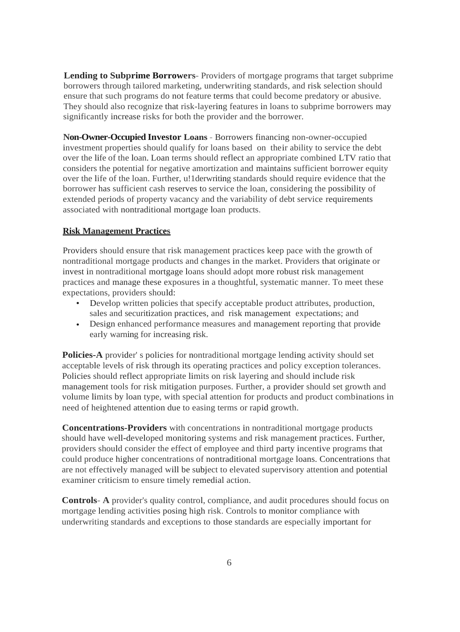**Lending to Subprime Borrowers-** Providers of mortgage programs that target subprime borrowers through tailored marketing, underwriting standards, and risk selection should ensure that such programs do not feature terms that could become predatory or abusive. They should also recognize that risk-layering features in loans to subprime borrowers may significantly increase risks for both the provider and the borrower.

**Non-Owner-Occupied Investor Loans** - Borrowers financing non-owner-occupied investment properties should qualify for loans based on their ability to service the debt over the life of the loan. Loan terms should reflect an appropriate combined LTV ratio that considers the potential for negative amortization and maintains sufficient borrower equity over the life of the loan. Further, u!1derwriting standards should require evidence that the borrower has sufficient cash reserves to service the loan, considering the possibility of extended periods of property vacancy and the variability of debt service requirements associated with nontraditional mortgage loan products.

### **Risk Management Practices**

Providers should ensure that risk management practices keep pace with the growth of nontraditional mortgage products and changes in the market. Providers that originate or invest in nontraditional mortgage loans should adopt more robust risk management practices and manage these exposures in a thoughtful, systematic manner. To meet these expectations, providers should:

- Develop written policies that specify acceptable product attributes, production, sales and securitization practices, and risk management expectations; and
- Design enhanced performance measures and management reporting that provide early warning for increasing risk.

**Policies-A** provider' s policies for nontraditional mortgage lending activity should set acceptable levels of risk through its operating practices and policy exception tolerances. Policies should reflect appropriate limits on risk layering and should include risk management tools for risk mitigation purposes. Further, a provider should set growth and volume limits by loan type, with special attention for products and product combinations in need of heightened attention due to easing terms or rapid growth.

**Concentrations-Providers** with concentrations in nontraditional mortgage products should have well-developed monitoring systems and risk management practices. Further, providers should consider the effect of employee and third party incentive programs that could produce higher concentrations of nontraditional mortgage loans. Concentrations that are not effectively managed will be subject to elevated supervisory attention and potential examiner criticism to ensure timely remedial action.

**Controls- A** provider's quality control, compliance, and audit procedures should focus on mortgage lending activities posing high risk. Controls to monitor compliance with underwriting standards and exceptions to those standards are especially important for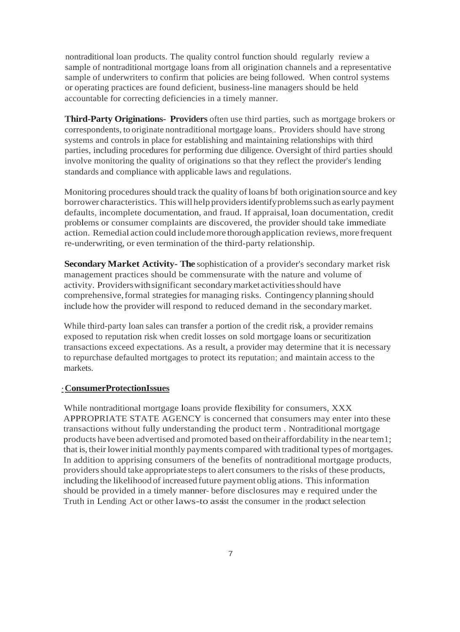nontraditional loan products. The quality control function should regularly review a sample of nontraditional mortgage loans from all origination channels and a representative sample of underwriters to confirm that policies are being followed. When control systems or operating practices are found deficient, business-line managers should be held accountable for correcting deficiencies in a timely manner.

**Third-Party Originations- Providers** often use third parties, such as mortgage brokers or correspondents, to originate nontraditional mortgage loans,. Providers should have strong systems and controls in place for establishing and maintaining relationships with third parties, including procedures for performing due diligence. Oversight of third parties should involve monitoring the quality of originations so that they reflect the provider's lending standards and compliance with applicable laws and regulations.

Monitoring procedures should track the quality of loans bf both origination source and key borrower characteristics. This willhelp providersidentifyproblemssuch as early payment defaults, incomplete documentation, and fraud. If appraisal, loan documentation, credit problems or consumer complaints are discovered, the provider should take immediate action. Remedial action could includemore thorough application reviews, more frequent re-underwriting, or even termination of the third-party relationship.

**Secondary Market Activity- The** sophistication of a provider's secondary market risk management practices should be commensurate with the nature and volume of activity. Providerswithsignificant secondarymarket activitiesshould have comprehensive, formal strategies for managing risks. Contingency planning should include how the provider will respond to reduced demand in the secondarymarket.

While third-party loan sales can transfer a portion of the credit risk, a provider remains exposed to reputation risk when credit losses on sold mortgage loans or securitization transactions exceed expectations. As a result, a provider may determine that it is necessary to repurchase defaulted mortgages to protect its reputation; and maintain access to the markets.

### ·**ConsumerProtectionIssues**

While nontraditional mortgage loans provide flexibility for consumers, XXX APPROPRIATE STATE AGENCY is concerned that consumers may enter into these transactions without fully understanding the product term . Nontraditional mortgage products have been advertised and promoted based on their affordability in the neartem1; that is, their lowerinitial monthly payments compared with traditional types of mortgages. In addition to apprising consumers of the benefits of nontraditional mortgage products, providers should take appropriate steps to alert consumers to the risks of these products, including the likelihood of increased future payment oblig ations. This information should be provided in a timely manner- before disclosures may e required under the Truth in Lending Act or other laws-to assist the consumer in the product selection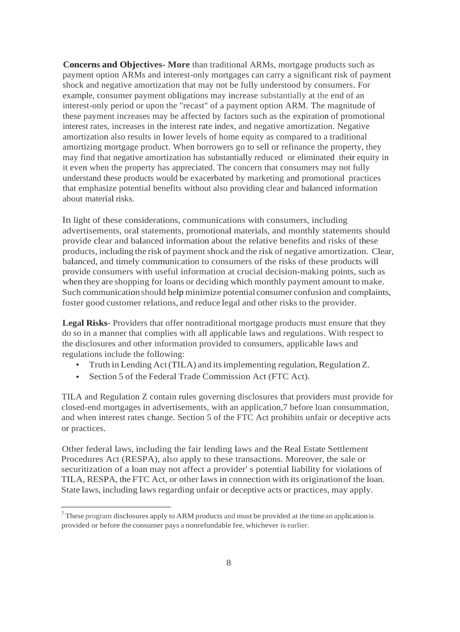**Concerns and Objectives- More** than traditional ARMs, mortgage products such as payment option ARMs and interest-only mortgages can carry a significant risk of payment shock and negative amortization that may not be fully understood by consumers. For example, consumer payment obligations may increase substantially at the end of an interest-only period or upon the "recast" of a payment option ARM. The magnitude of these payment increases may be affected by factors such as the expiration of promotional interest rates, increases in the interest rate index, and negative amortization. Negative amortization also results in lower levels of home equity as compared to a traditional amortizing mortgage product. When borrowers go to sell or refinance the property, they may find that negative amortization has substantially reduced or eliminated their equity in it even when the property has appreciated. The concern that consumers may not fully understand these products would be exacerbated by marketing and promotional practices that emphasize potential benefits without also providing clear and balanced information about material risks.

In light of these considerations, communications with consumers, including advertisements, oral statements, promotional materials, and monthly statements should provide clear and balanced information about the relative benefits and risks of these products, including the risk of payment shock and the risk of negative amortization. Clear, balanced, and timely communication to consumers of the risks of these products will provide consumers with useful information at crucial decision-making points, such as when they are shopping for loans or deciding which monthly payment amount to make. Such communication should help minimize potential consumer confusion and complaints, foster good customer relations, and reduce legal and other risks to the provider.

**Legal Risks**- Providers that offer nontraditional mortgage products must ensure that they do so in a manner that complies with all applicable laws and regulations. With respect to the disclosures and other information provided to consumers, applicable laws and regulations include the following:

- Truth in Lending Act (TILA) and its implementing regulation, Regulation Z.
- Section 5 of the Federal Trade Commission Act (FTC Act).

TILA and Regulation Z contain rules governing disclosures that providers must provide for closed-end mortgages in advertisements, with an application,7 before loan consummation, and when interest rates change. Section 5 of the FTC Act prohibits unfair or deceptive acts or practices.

Other federal laws, including the fair lending laws and the Real Estate Settlement Procedures Act (RESPA), also apply to these transactions. Moreover, the sale or securitization of a loan may not affect a provider' s potential liability for violations of TILA, RESPA, the FTC Act, or other laws in connection with its originationof the loan. State laws, including laws regarding unfair or deceptive acts or practices, may apply.

 $7$  These program disclosures apply to ARM products and must be provided at the time an application is provided or before the consumer pays a nonrefundable fee, whichever is earlier.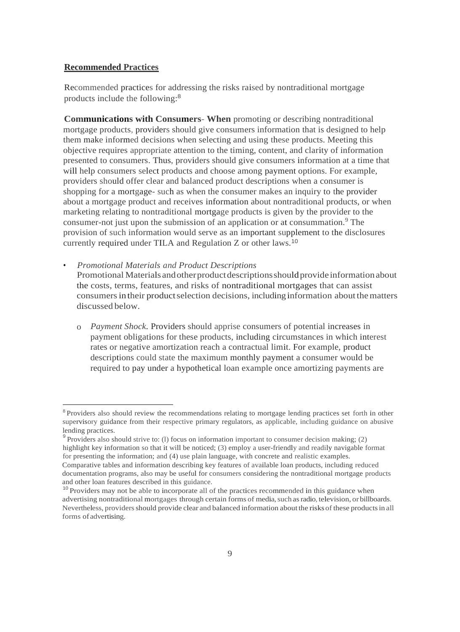#### **Recommended Practices**

Recommended practices for addressing the risks raised by nontraditional mortgage products include the following:<sup>8</sup>

**Communications with Consumers- When** promoting or describing nontraditional mortgage products, providers should give consumers information that is designed to help them make informed decisions when selecting and using these products. Meeting this objective requires appropriate attention to the timing, content, and clarity of information presented to consumers. Thus, providers should give consumers information at a time that will help consumers select products and choose among payment options. For example, providers should offer clear and balanced product descriptions when a consumer is shopping for a mortgage- such as when the consumer makes an inquiry to the provider about a mortgage product and receives information about nontraditional products, or when marketing relating to nontraditional mortgage products is given by the provider to the consumer-not just upon the submission of an application or at consummation.<sup>9</sup> The provision of such information would serve as an important supplement to the disclosures currently required under TILA and Regulation Z or other laws.<sup>10</sup>

• *Promotional Materials and Product Descriptions*

Promotional Materials and other product descriptions should provide information about the costs, terms, features, and risks of nontraditional mortgages that can assist consumers in their product selection decisions, including information about the matters discussed below.

o *Payment Shock.* Providers should apprise consumers of potential increases in payment obligations for these products, including circumstances in which interest rates or negative amortization reach a contractual limit. For example, product descriptions could state the maximum monthly payment a consumer would be required to pay under a hypothetical loan example once amortizing payments are

<sup>&</sup>lt;sup>8</sup> Providers also should review the recommendations relating to mortgage lending practices set forth in other supervisory guidance from their respective primary regulators, as applicable, including guidance on abusive lending practices.

 $9$  Providers also should strive to: (1) focus on information important to consumer decision making; (2) highlight key information so that it will be noticed; (3) employ a user-friendly and readily navigable format for presenting the information; and (4) use plain language, with concrete and realistic examples. Comparative tables and information describing key features of available loan products, including reduced documentation programs, also may be useful for consumers considering the nontraditional mortgage products

and other loan features described in this guidance.

 $10$  Providers may not be able to incorporate all of the practices recommended in this guidance when advertising nontraditional mortgages through certain forms of media,such asradio, television, or billboards. Nevertheless, providersshould provide clear and balanced information about the risks of these productsin all forms of advertising.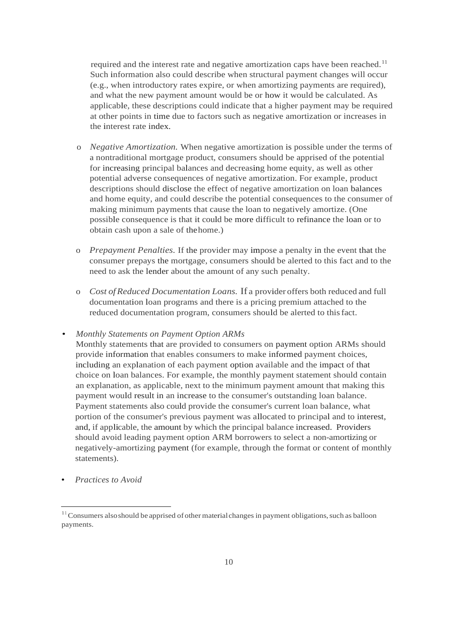required and the interest rate and negative amortization caps have been reached.<sup>11</sup> Such information also could describe when structural payment changes will occur (e.g., when introductory rates expire, or when amortizing payments are required), and what the new payment amount would be or how it would be calculated. As applicable, these descriptions could indicate that a higher payment may be required at other points in time due to factors such as negative amortization or increases in the interest rate index.

- o *Negative Amortization.* When negative amortization is possible under the terms of a nontraditional mortgage product, consumers should be apprised of the potential for increasing principal balances and decreasing home equity, as well as other potential adverse consequences of negative amortization. For example, product descriptions should disclose the effect of negative amortization on loan balances and home equity, and could describe the potential consequences to the consumer of making minimum payments that cause the loan to negatively amortize. (One possible consequence is that it could be more difficult to refinance the loan or to obtain cash upon a sale of thehome.)
- o *Prepayment Penalties.* If the provider may impose a penalty in the event that the consumer prepays the mortgage, consumers should be alerted to this fact and to the need to ask the lender about the amount of any such penalty.
- o *Cost ofReduced Documentation Loans.* If a provider offers both reduced and full documentation loan programs and there is a pricing premium attached to the reduced documentation program, consumers should be alerted to thisfact.

#### • *Monthly Statements on Payment Option ARMs*

Monthly statements that are provided to consumers on payment option ARMs should provide information that enables consumers to make informed payment choices, including an explanation of each payment option available and the impact of that choice on loan balances. For example, the monthly payment statement should contain an explanation, as applicable, next to the minimum payment amount that making this payment would result in an increase to the consumer's outstanding loan balance. Payment statements also could provide the consumer's current loan balance, what portion of the consumer's previous payment was allocated to principal and to interest, and, if applicable, the amount by which the principal balance increased. Providers should avoid leading payment option ARM borrowers to select a non-amortizing or negatively-amortizing payment (for example, through the format or content of monthly statements).

• *Practices to Avoid*

 $11$  Consumers also should be apprised of other material changes in payment obligations, such as balloon payments.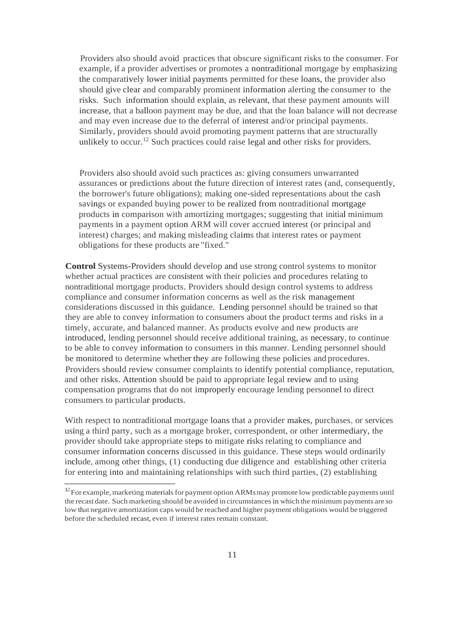Providers also should avoid practices that obscure significant risks to the consumer. For example, if a provider advertises or promotes a nontraditional mortgage by emphasizing the comparatively lower initial payments permitted for these loans, the provider also should give clear and comparably prominent information alerting the consumer to the risks. Such information should explain, as relevant, that these payment amounts will increase, that a balloon payment may be due, and that the loan balance will not decrease and may even increase due to the deferral of interest and/or principal payments. Similarly, providers should avoid promoting payment patterns that are structurally unlikely to occur.<sup>12</sup> Such practices could raise legal and other risks for providers.

Providers also should avoid such practices as: giving consumers unwarranted assurances or predictions about the future direction of interest rates (and, consequently, the borrower's future obligations); making one-sided representations about the cash savings or expanded buying power to be realized from nontraditional mortgage products in comparison with amortizing mortgages; suggesting that initial minimum payments in a payment option ARM will cover accrued interest (or principal and interest) charges; and making misleading claims that interest rates or payment obligations for these products are "fixed."

**Control** Systems-Providers should develop and use strong control systems to monitor whether actual practices are consistent with their policies and procedures relating to nontraditional mortgage products. Providers should design control systems to address compliance and consumer information concerns as well as the risk management considerations discussed in this guidance. Lending personnel should be trained so that they are able to convey information to consumers about the product terms and risks in a timely, accurate, and balanced manner. As products evolve and new products are introduced, lending personnel should receive additional training, as necessary, to continue to be able to convey information to consumers in this manner. Lending personnel should be monitored to determine whether they are following these policies and procedures. Providers should review consumer complaints to identify potential compliance, reputation, and other risks. Attention should be paid to appropriate legal review and to using compensation programs that do not improperly encourage lending personnel to direct consumers to particular products.

With respect to nontraditional mortgage loans that a provider makes, purchases, or services using a third party, such as a mortgage broker, correspondent, or other intermediary, the provider should take appropriate steps to mitigate risks relating to compliance and consumer information concerns discussed in this guidance. These steps would ordinarily include, among other things, (1) conducting due diligence and establishing other criteria for entering into and maintaining relationships with such third parties, (2) establishing

<sup>&</sup>lt;sup>12</sup> For example, marketing materials for payment option ARMs may promote low predictable payments until the recast date. Such marketing should be avoided in circumstancesin which the minimum payments are so low that negative amortization caps would be reached and higher payment obligations would be triggered before the scheduled recast, even if interest rates remain constant.